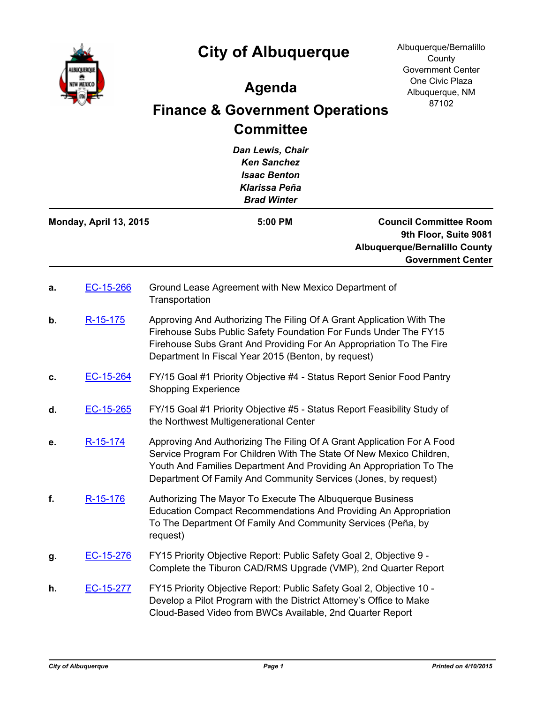

## **City of Albuquerque**

## **Agenda**

## **Finance & Government Operations Committee**

*Dan Lewis, Chair Ken Sanchez Isaac Benton Klarissa Peña Brad Winter* **Council Committee Room 9th Floor, Suite 9081 Albuquerque/Bernalillo County Government Center Monday, April 13, 2015 5:00 PM a.** [EC-15-266](http://cabq.legistar.com/gateway.aspx?m=l&id=/matter.aspx?key=9572) Ground Lease Agreement with New Mexico Department of **Transportation b.** [R-15-175](http://cabq.legistar.com/gateway.aspx?m=l&id=/matter.aspx?key=9618) Approving And Authorizing The Filing Of A Grant Application With The Firehouse Subs Public Safety Foundation For Funds Under The FY15 Firehouse Subs Grant And Providing For An Appropriation To The Fire Department In Fiscal Year 2015 (Benton, by request) **c.** [EC-15-264](http://cabq.legistar.com/gateway.aspx?m=l&id=/matter.aspx?key=9570) FY/15 Goal #1 Priority Objective #4 - Status Report Senior Food Pantry Shopping Experience **d.** [EC-15-265](http://cabq.legistar.com/gateway.aspx?m=l&id=/matter.aspx?key=9571) FY/15 Goal #1 Priority Objective #5 - Status Report Feasibility Study of the Northwest Multigenerational Center **e.** [R-15-174](http://cabq.legistar.com/gateway.aspx?m=l&id=/matter.aspx?key=9617) Approving And Authorizing The Filing Of A Grant Application For A Food Service Program For Children With The State Of New Mexico Children, Youth And Families Department And Providing An Appropriation To The Department Of Family And Community Services (Jones, by request) **f.** [R-15-176](http://cabq.legistar.com/gateway.aspx?m=l&id=/matter.aspx?key=9619) Authorizing The Mayor To Execute The Albuquerque Business Education Compact Recommendations And Providing An Appropriation To The Department Of Family And Community Services (Peña, by request) **g.** [EC-15-276](http://cabq.legistar.com/gateway.aspx?m=l&id=/matter.aspx?key=9601) FY15 Priority Objective Report: Public Safety Goal 2, Objective 9 - Complete the Tiburon CAD/RMS Upgrade (VMP), 2nd Quarter Report **h.** [EC-15-277](http://cabq.legistar.com/gateway.aspx?m=l&id=/matter.aspx?key=9602) FY15 Priority Objective Report: Public Safety Goal 2, Objective 10 - Develop a Pilot Program with the District Attorney's Office to Make Cloud-Based Video from BWCs Available, 2nd Quarter Report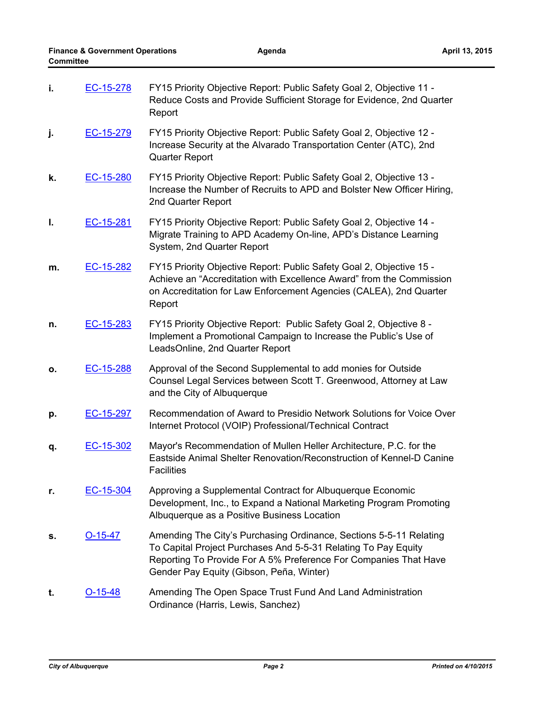| i. | EC-15-278 | FY15 Priority Objective Report: Public Safety Goal 2, Objective 11 -<br>Reduce Costs and Provide Sufficient Storage for Evidence, 2nd Quarter<br>Report                                                                                              |
|----|-----------|------------------------------------------------------------------------------------------------------------------------------------------------------------------------------------------------------------------------------------------------------|
| j. | EC-15-279 | FY15 Priority Objective Report: Public Safety Goal 2, Objective 12 -<br>Increase Security at the Alvarado Transportation Center (ATC), 2nd<br><b>Quarter Report</b>                                                                                  |
| k. | EC-15-280 | FY15 Priority Objective Report: Public Safety Goal 2, Objective 13 -<br>Increase the Number of Recruits to APD and Bolster New Officer Hiring,<br>2nd Quarter Report                                                                                 |
| Ι. | EC-15-281 | FY15 Priority Objective Report: Public Safety Goal 2, Objective 14 -<br>Migrate Training to APD Academy On-line, APD's Distance Learning<br>System, 2nd Quarter Report                                                                               |
| m. | EC-15-282 | FY15 Priority Objective Report: Public Safety Goal 2, Objective 15 -<br>Achieve an "Accreditation with Excellence Award" from the Commission<br>on Accreditation for Law Enforcement Agencies (CALEA), 2nd Quarter<br>Report                         |
| n. | EC-15-283 | FY15 Priority Objective Report: Public Safety Goal 2, Objective 8 -<br>Implement a Promotional Campaign to Increase the Public's Use of<br>LeadsOnline, 2nd Quarter Report                                                                           |
| Ο. | EC-15-288 | Approval of the Second Supplemental to add monies for Outside<br>Counsel Legal Services between Scott T. Greenwood, Attorney at Law<br>and the City of Albuquerque                                                                                   |
| p. | EC-15-297 | Recommendation of Award to Presidio Network Solutions for Voice Over<br>Internet Protocol (VOIP) Professional/Technical Contract                                                                                                                     |
| q. | EC-15-302 | Mayor's Recommendation of Mullen Heller Architecture, P.C. for the<br>Eastside Animal Shelter Renovation/Reconstruction of Kennel-D Canine<br><b>Facilities</b>                                                                                      |
| r. | EC-15-304 | Approving a Supplemental Contract for Albuquerque Economic<br>Development, Inc., to Expand a National Marketing Program Promoting<br>Albuquerque as a Positive Business Location                                                                     |
| s. | $O-15-47$ | Amending The City's Purchasing Ordinance, Sections 5-5-11 Relating<br>To Capital Project Purchases And 5-5-31 Relating To Pay Equity<br>Reporting To Provide For A 5% Preference For Companies That Have<br>Gender Pay Equity (Gibson, Peña, Winter) |
| t. | $O-15-48$ | Amending The Open Space Trust Fund And Land Administration<br>Ordinance (Harris, Lewis, Sanchez)                                                                                                                                                     |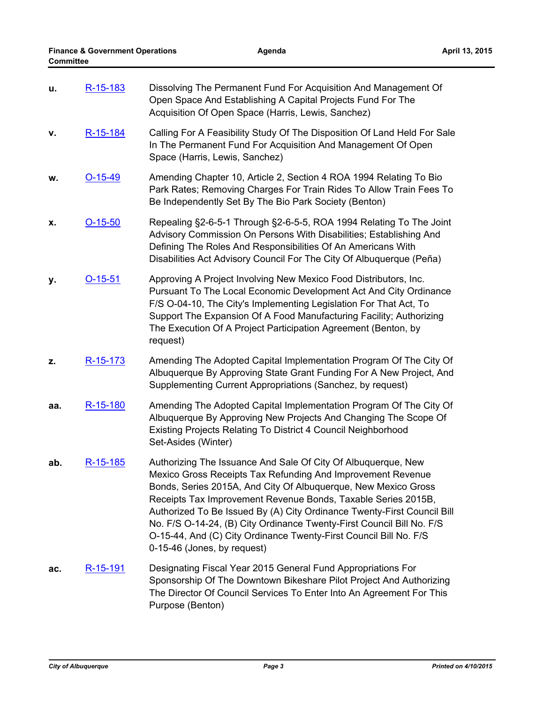| u.  | R-15-183        | Dissolving The Permanent Fund For Acquisition And Management Of<br>Open Space And Establishing A Capital Projects Fund For The<br>Acquisition Of Open Space (Harris, Lewis, Sanchez)                                                                                                                                                                                                                                                                                                                                    |
|-----|-----------------|-------------------------------------------------------------------------------------------------------------------------------------------------------------------------------------------------------------------------------------------------------------------------------------------------------------------------------------------------------------------------------------------------------------------------------------------------------------------------------------------------------------------------|
| v.  | R-15-184        | Calling For A Feasibility Study Of The Disposition Of Land Held For Sale<br>In The Permanent Fund For Acquisition And Management Of Open<br>Space (Harris, Lewis, Sanchez)                                                                                                                                                                                                                                                                                                                                              |
| w.  | $O-15-49$       | Amending Chapter 10, Article 2, Section 4 ROA 1994 Relating To Bio<br>Park Rates; Removing Charges For Train Rides To Allow Train Fees To<br>Be Independently Set By The Bio Park Society (Benton)                                                                                                                                                                                                                                                                                                                      |
| х.  | $O-15-50$       | Repealing §2-6-5-1 Through §2-6-5-5, ROA 1994 Relating To The Joint<br>Advisory Commission On Persons With Disabilities; Establishing And<br>Defining The Roles And Responsibilities Of An Americans With<br>Disabilities Act Advisory Council For The City Of Albuquerque (Peña)                                                                                                                                                                                                                                       |
| у.  | $O-15-51$       | Approving A Project Involving New Mexico Food Distributors, Inc.<br>Pursuant To The Local Economic Development Act And City Ordinance<br>F/S O-04-10, The City's Implementing Legislation For That Act, To<br>Support The Expansion Of A Food Manufacturing Facility; Authorizing<br>The Execution Of A Project Participation Agreement (Benton, by<br>request)                                                                                                                                                         |
| z.  | R-15-173        | Amending The Adopted Capital Implementation Program Of The City Of<br>Albuquerque By Approving State Grant Funding For A New Project, And<br>Supplementing Current Appropriations (Sanchez, by request)                                                                                                                                                                                                                                                                                                                 |
| aa. | R-15-180        | Amending The Adopted Capital Implementation Program Of The City Of<br>Albuquerque By Approving New Projects And Changing The Scope Of<br>Existing Projects Relating To District 4 Council Neighborhood<br>Set-Asides (Winter)                                                                                                                                                                                                                                                                                           |
| ab. | R-15-185        | Authorizing The Issuance And Sale Of City Of Albuquerque, New<br>Mexico Gross Receipts Tax Refunding And Improvement Revenue<br>Bonds, Series 2015A, And City Of Albuquerque, New Mexico Gross<br>Receipts Tax Improvement Revenue Bonds, Taxable Series 2015B,<br>Authorized To Be Issued By (A) City Ordinance Twenty-First Council Bill<br>No. F/S O-14-24, (B) City Ordinance Twenty-First Council Bill No. F/S<br>O-15-44, And (C) City Ordinance Twenty-First Council Bill No. F/S<br>0-15-46 (Jones, by request) |
| ac. | <u>R-15-191</u> | Designating Fiscal Year 2015 General Fund Appropriations For<br>Sponsorship Of The Downtown Bikeshare Pilot Project And Authorizing<br>The Director Of Council Services To Enter Into An Agreement For This<br>Purpose (Benton)                                                                                                                                                                                                                                                                                         |